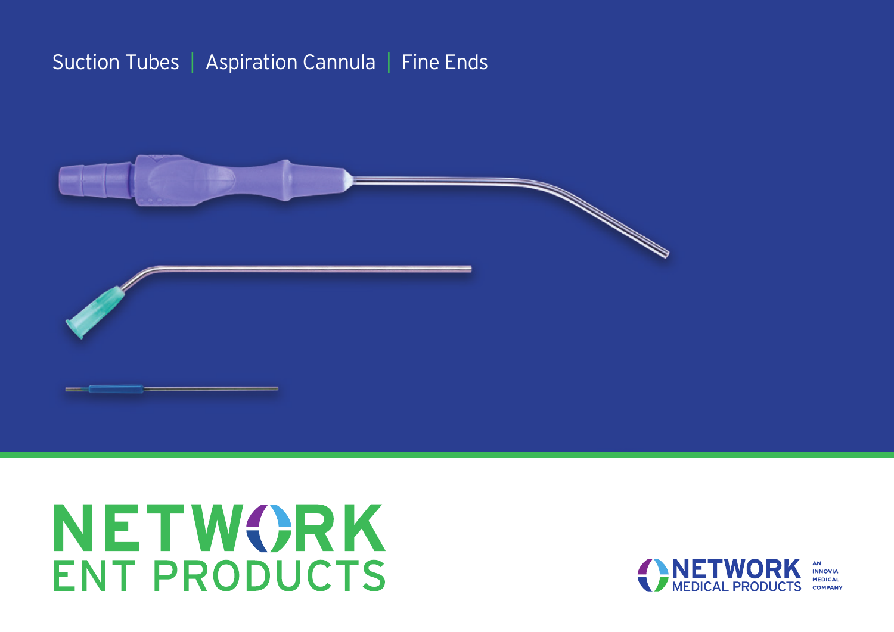### Suction Tubes | Aspiration Cannula | Fine Ends



# **NETWORK ENT PRODUCTS**

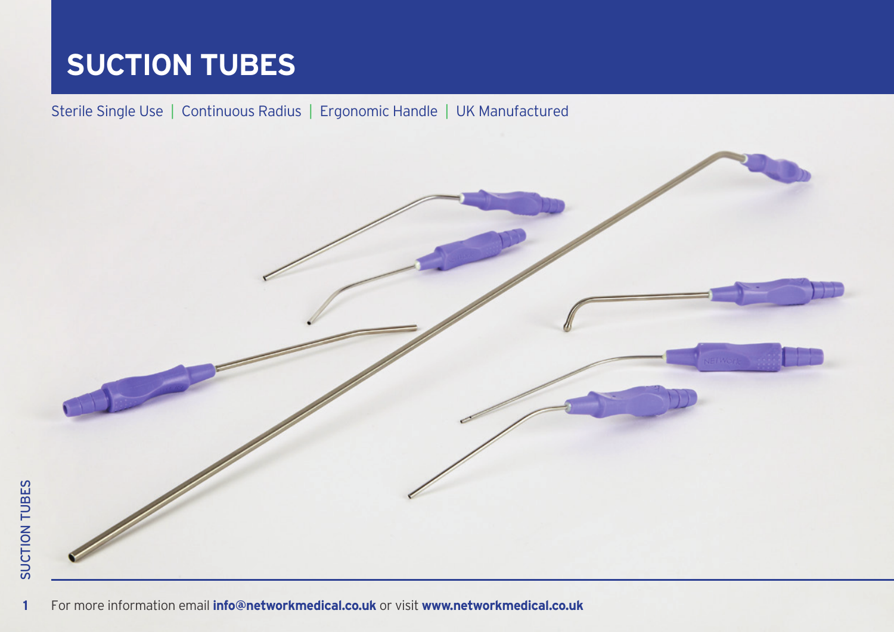#### Sterile Single Use | Continuous Radius | Ergonomic Handle | UK Manufactured

 $\overline{1}$ 

For more information email **[info@networkmedical.co.uk](mailto:info%40networkmedical.co.uk?subject=ENT%20Suction%20Tubes%20Brochure)** or visit **[www.networkmedical.co.uk](http://www.networkmedical.co.uk)** For more information email **[info@networkmedical.co.uk](mailto:info%40networkmedical.co.uk?subject=ENT%20Suction%20Tubes%20Brochure)** or visit **[www.networkmedical.co.uk](http://www.networkmedical.co.uk)**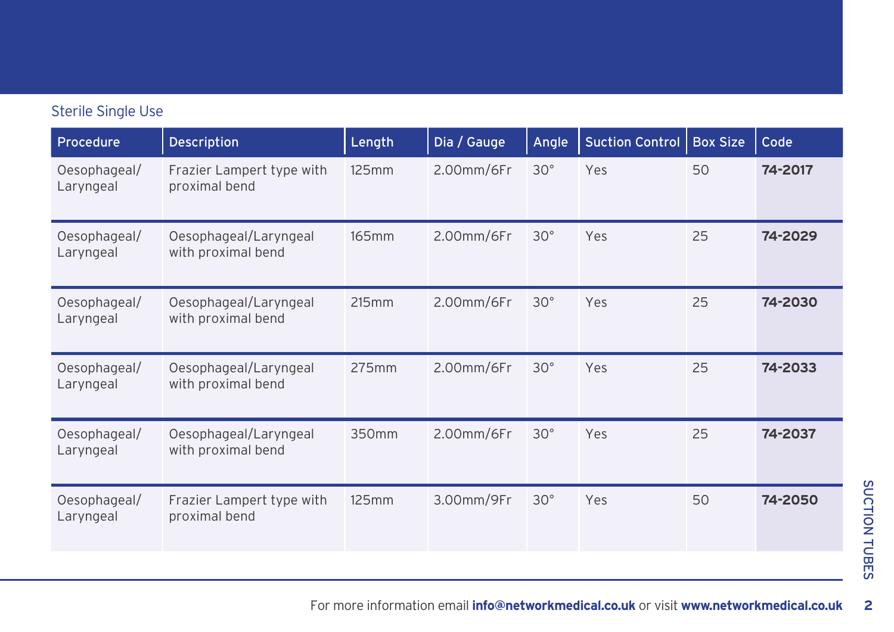| Procedure                 | <b>Description</b>                          | Length | Dia / Gauge | Angle        | <b>Suction Control</b> | <b>Box Size</b> | Code    |
|---------------------------|---------------------------------------------|--------|-------------|--------------|------------------------|-----------------|---------|
| Oesophageal/<br>Laryngeal | Frazier Lampert type with<br>proximal bend  | 125mm  | 2.00mm/6Fr  | $30^\circ$   | Yes                    | 50              | 74-2017 |
| Oesophageal/<br>Laryngeal | Oesophageal/Laryngeal<br>with proximal bend | 165mm  | 2.00mm/6Fr  | $30^\circ$   | Yes                    | 25              | 74-2029 |
| Oesophageal/<br>Laryngeal | Oesophageal/Laryngeal<br>with proximal bend | 215mm  | 2.00mm/6Fr  | $30^{\circ}$ | Yes                    | 25              | 74-2030 |
| Oesophageal/<br>Laryngeal | Oesophageal/Laryngeal<br>with proximal bend | 275mm  | 2.00mm/6Fr  | $30^{\circ}$ | Yes                    | 25              | 74-2033 |
| Oesophageal/<br>Laryngeal | Oesophageal/Laryngeal<br>with proximal bend | 350mm  | 2.00mm/6Fr  | $30^{\circ}$ | Yes                    | 25              | 74-2037 |
| Oesophageal/<br>Laryngeal | Frazier Lampert type with<br>proximal bend  | 125mm  | 3.00mm/9Fr  | $30^\circ$   | Yes                    | 50              | 74-2050 |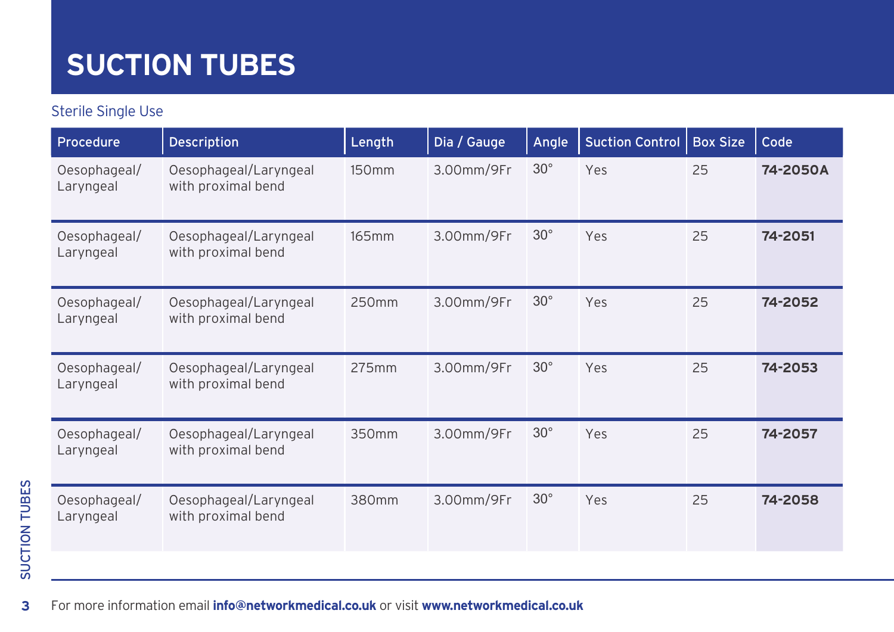#### Sterile Single Use

| Procedure                 | <b>Description</b>                          | Length            | Dia / Gauge | Angle      | <b>Suction Control</b> | <b>Box Size</b> | Code     |
|---------------------------|---------------------------------------------|-------------------|-------------|------------|------------------------|-----------------|----------|
| Oesophageal/<br>Laryngeal | Oesophageal/Laryngeal<br>with proximal bend | 150 <sub>mm</sub> | 3.00mm/9Fr  | $30^\circ$ | Yes                    | 25              | 74-2050A |
| Oesophageal/<br>Laryngeal | Oesophageal/Laryngeal<br>with proximal bend | 165mm             | 3.00mm/9Fr  | $30^\circ$ | Yes                    | 25              | 74-2051  |
| Oesophageal/<br>Laryngeal | Oesophageal/Laryngeal<br>with proximal bend | 250mm             | 3.00mm/9Fr  | $30^\circ$ | Yes                    | 25              | 74-2052  |
| Oesophageal/<br>Laryngeal | Oesophageal/Laryngeal<br>with proximal bend | 275mm             | 3.00mm/9Fr  | $30^\circ$ | Yes                    | 25              | 74-2053  |
| Oesophageal/<br>Laryngeal | Oesophageal/Laryngeal<br>with proximal bend | 350mm             | 3.00mm/9Fr  | $30^\circ$ | Yes                    | 25              | 74-2057  |
| Oesophageal/<br>Laryngeal | Oesophageal/Laryngeal<br>with proximal bend | 380mm             | 3.00mm/9Fr  | $30^\circ$ | Yes                    | 25              | 74-2058  |

 $\overline{\mathbf{3}}$ For more information email **[info@networkmedical.co.uk](mailto:info%40networkmedical.co.uk?subject=ENT%20Suction%20Tubes%20Brochure)** or visit **[www.networkmedical.co.uk](http://www.networkmedical.co.uk)** For more information email **[info@networkmedical.co.uk](mailto:info%40networkmedical.co.uk?subject=ENT%20Suction%20Tubes%20Brochure)** or visit **[www.networkmedical.co.uk](http://www.networkmedical.co.uk)**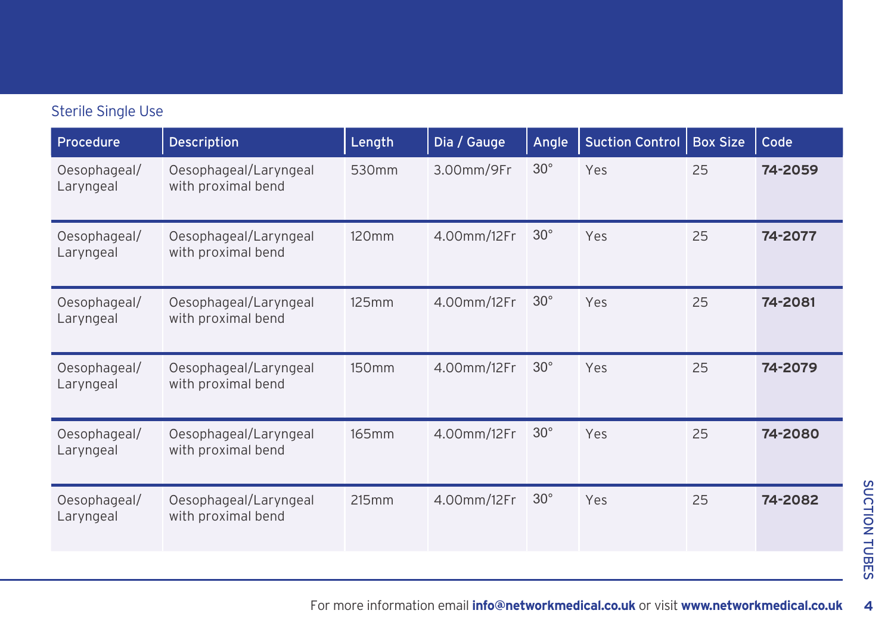| Procedure                 | <b>Description</b>                          | Length            | Dia / Gauge | Angle      | <b>Suction Control</b> | <b>Box Size</b> | Code    |
|---------------------------|---------------------------------------------|-------------------|-------------|------------|------------------------|-----------------|---------|
| Oesophageal/<br>Laryngeal | Oesophageal/Laryngeal<br>with proximal bend | 530mm             | 3.00mm/9Fr  | $30^\circ$ | Yes                    | 25              | 74-2059 |
| Oesophageal/<br>Laryngeal | Oesophageal/Laryngeal<br>with proximal bend | 120 <sub>mm</sub> | 4.00mm/12Fr | $30^\circ$ | Yes                    | 25              | 74-2077 |
| Oesophageal/<br>Laryngeal | Oesophageal/Laryngeal<br>with proximal bend | 125mm             | 4.00mm/12Fr | $30^\circ$ | Yes                    | 25              | 74-2081 |
| Oesophageal/<br>Laryngeal | Oesophageal/Laryngeal<br>with proximal bend | 150mm             | 4.00mm/12Fr | $30^\circ$ | Yes                    | 25              | 74-2079 |
| Oesophageal/<br>Laryngeal | Oesophageal/Laryngeal<br>with proximal bend | 165mm             | 4.00mm/12Fr | $30^\circ$ | Yes                    | 25              | 74-2080 |
| Oesophageal/<br>Laryngeal | Oesophageal/Laryngeal<br>with proximal bend | 215mm             | 4.00mm/12Fr | $30^\circ$ | Yes                    | 25              | 74-2082 |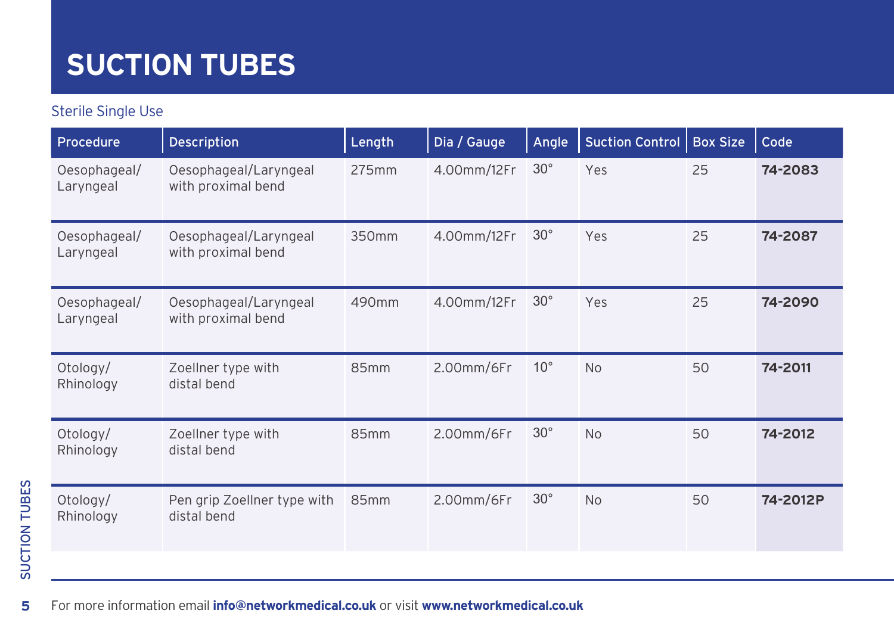#### Sterile Single Use

| <b>Procedure</b>          | <b>Description</b>                          | Length | Dia / Gauge      | Angle        | <b>Suction Control</b> | <b>Box Size</b> | Code     |
|---------------------------|---------------------------------------------|--------|------------------|--------------|------------------------|-----------------|----------|
| Oesophageal/<br>Laryngeal | Oesophageal/Laryngeal<br>with proximal bend | 275mm  | 4.00mm/12Fr      | $30^\circ$   | Yes                    | 25              | 74-2083  |
| Oesophageal/<br>Laryngeal | Oesophageal/Laryngeal<br>with proximal bend | 350mm  | 4.00mm/12Fr      | $30^\circ$   | Yes                    | 25              | 74-2087  |
| Oesophageal/<br>Laryngeal | Oesophageal/Laryngeal<br>with proximal bend | 490mm  | 4.00mm/12Fr      | $30^\circ$   | Yes                    | 25              | 74-2090  |
| Otology/<br>Rhinology     | Zoellner type with<br>distal bend           | 85mm   | 2.00mm/6Fr       | $10^{\circ}$ | <b>No</b>              | 50              | 74-2011  |
| Otology/<br>Rhinology     | Zoellner type with<br>distal bend           | 85mm   | 2.00mm/6Fr       | $30^\circ$   | <b>No</b>              | 50              | 74-2012  |
| Otology/<br>Rhinology     | Pen grip Zoellner type with<br>distal bend  | 85mm   | $2.00$ mm/6 $Fr$ | $30^\circ$   | <b>No</b>              | 50              | 74-2012P |

 $\overline{\mathbf{5}}$ For more information email **[info@networkmedical.co.uk](mailto:info%40networkmedical.co.uk?subject=ENT%20Suction%20Tubes%20Brochure)** or visit **[www.networkmedical.co.uk](http://www.networkmedical.co.uk)**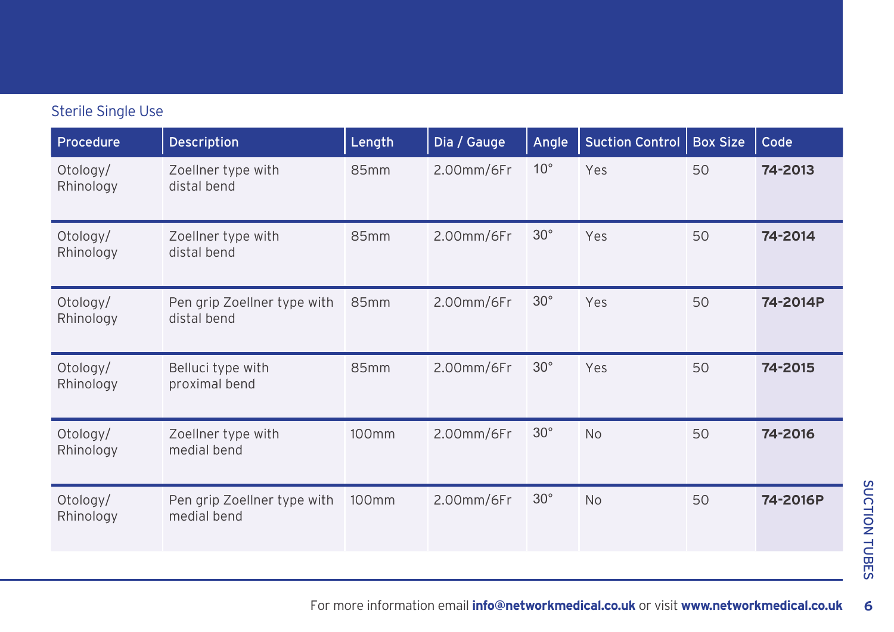| Procedure             | <b>Description</b>                         | Length | Dia / Gauge      | Angle        | <b>Suction Control</b> | <b>Box Size</b> | Code     |
|-----------------------|--------------------------------------------|--------|------------------|--------------|------------------------|-----------------|----------|
| Otology/<br>Rhinology | Zoellner type with<br>distal bend          | 85mm   | 2.00mm/6Fr       | $10^{\circ}$ | Yes                    | 50              | 74-2013  |
| Otology/<br>Rhinology | Zoellner type with<br>distal bend          | 85mm   | $2.00$ mm/6 $Fr$ | $30^\circ$   | Yes                    | 50              | 74-2014  |
| Otology/<br>Rhinology | Pen grip Zoellner type with<br>distal bend | 85mm   | 2.00mm/6Fr       | $30^\circ$   | Yes                    | 50              | 74-2014P |
| Otology/<br>Rhinology | Belluci type with<br>proximal bend         | 85mm   | 2.00mm/6Fr       | $30^\circ$   | Yes                    | 50              | 74-2015  |
| Otology/<br>Rhinology | Zoellner type with<br>medial bend          | 100mm  | 2.00mm/6Fr       | $30^\circ$   | <b>No</b>              | 50              | 74-2016  |
| Otology/<br>Rhinology | Pen grip Zoellner type with<br>medial bend | 100mm  | 2.00mm/6Fr       | $30^\circ$   | <b>No</b>              | 50              | 74-2016P |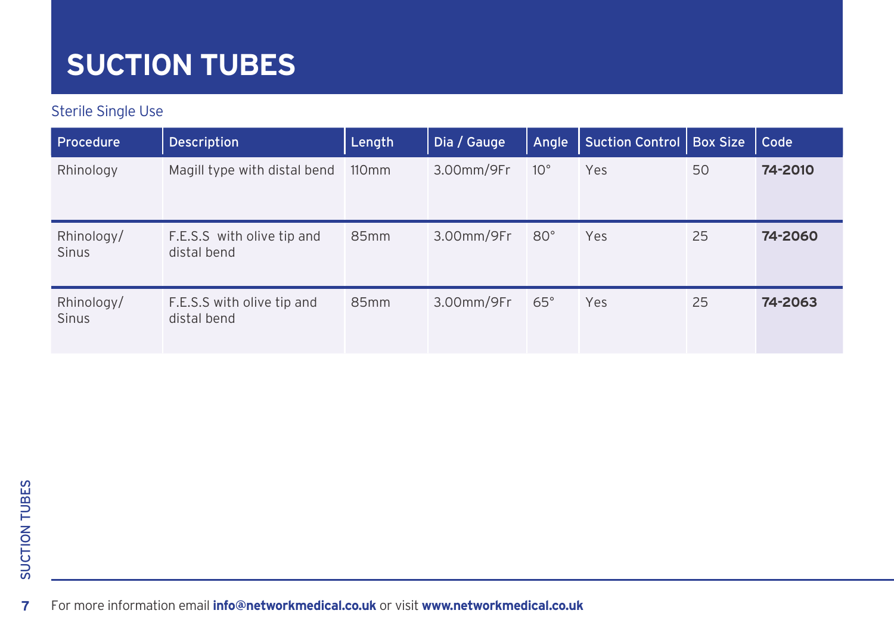#### Sterile Single Use

| Procedure                  | <b>Description</b>                        | Length           | Dia / Gauge | Angle        | Suction Control   Box Size |    | Code    |
|----------------------------|-------------------------------------------|------------------|-------------|--------------|----------------------------|----|---------|
| Rhinology                  | Magill type with distal bend              | $110 \text{mm}$  | 3.00mm/9Fr  | $10^{\circ}$ | Yes                        | 50 | 74-2010 |
| Rhinology/<br><b>Sinus</b> | F.E.S.S with olive tip and<br>distal bend | 85 <sub>mm</sub> | 3.00mm/9Fr  | $80^\circ$   | Yes                        | 25 | 74-2060 |
| Rhinology/<br><b>Sinus</b> | F.E.S.S with olive tip and<br>distal bend | 85 <sub>mm</sub> | 3.00mm/9Fr  | $65^{\circ}$ | Yes                        | 25 | 74-2063 |

**7** For more information email **[info@networkmedical.co.uk](mailto:info%40networkmedical.co.uk?subject=ENT%20Suction%20Tubes%20Brochure)** or visit **[www.networkmedical.co.uk](http://www.networkmedical.co.uk)** For more information email **[info@networkmedical.co.uk](mailto:info%40networkmedical.co.uk?subject=ENT%20Suction%20Tubes%20Brochure)** or visit **[www.networkmedical.co.uk](http://www.networkmedical.co.uk)**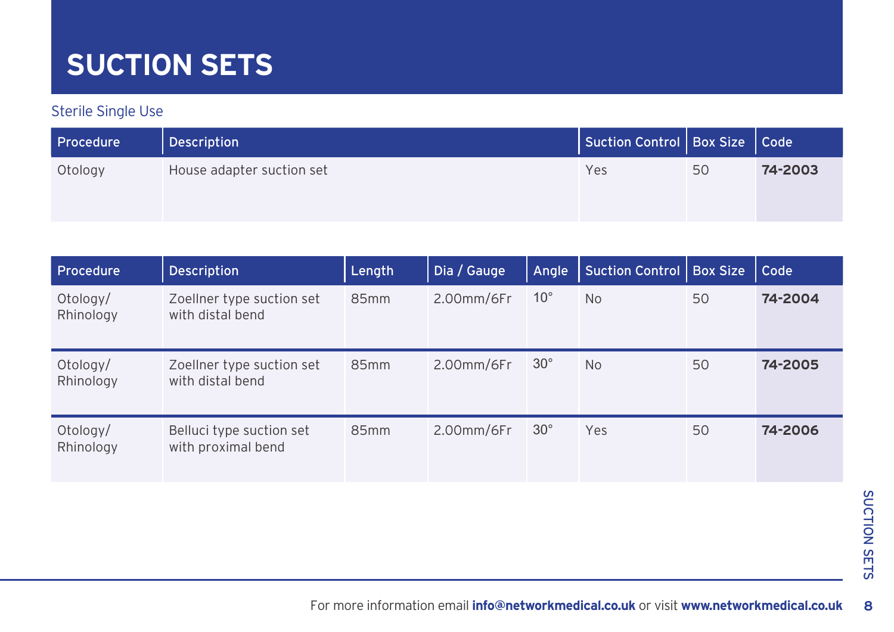### **SUCTION SETS**

| <b>Procedure</b> | Description               | Suction Control   Box Size   Code |    |         |
|------------------|---------------------------|-----------------------------------|----|---------|
| Otology          | House adapter suction set | Yes                               | 50 | 74-2003 |

| Procedure             | <b>Description</b>                             | Length           | Dia / Gauge      | Angle        | Suction Control | <b>Box Size</b> | Code    |
|-----------------------|------------------------------------------------|------------------|------------------|--------------|-----------------|-----------------|---------|
| Otology/<br>Rhinology | Zoellner type suction set<br>with distal bend  | 85mm             | $2.00$ mm/6 $Fr$ | $10^{\circ}$ | <b>No</b>       | 50              | 74-2004 |
| Otology/<br>Rhinology | Zoellner type suction set<br>with distal bend  | 85 <sub>mm</sub> | $2.00$ mm/6 $Fr$ | $30^\circ$   | <b>No</b>       | 50              | 74-2005 |
| Otology/<br>Rhinology | Belluci type suction set<br>with proximal bend | 85 <sub>mm</sub> | $2.00$ mm/6 $Fr$ | $30^{\circ}$ | Yes             | 50              | 74-2006 |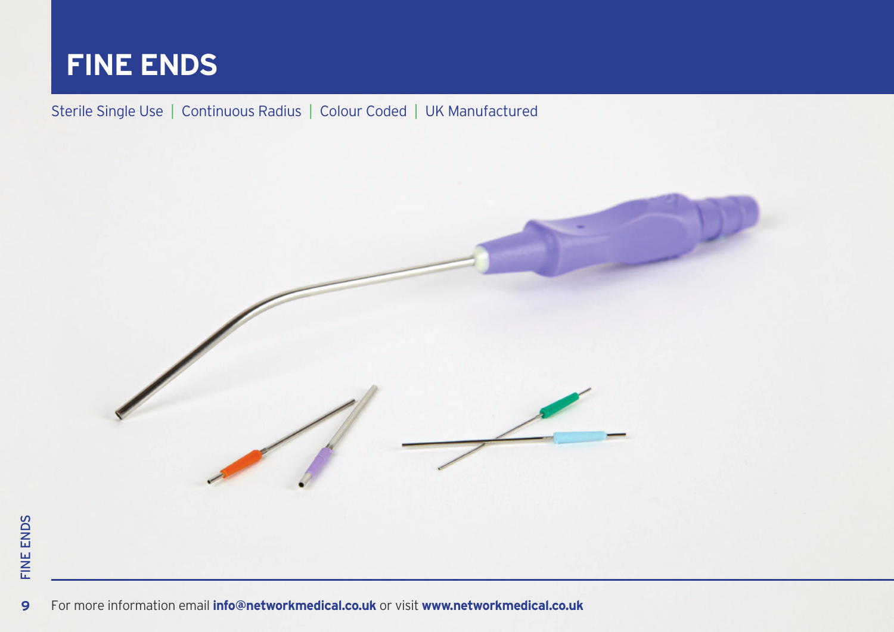

#### Sterile Single Use | Continuous Radius | Colour Coded | UK Manufactured



**9**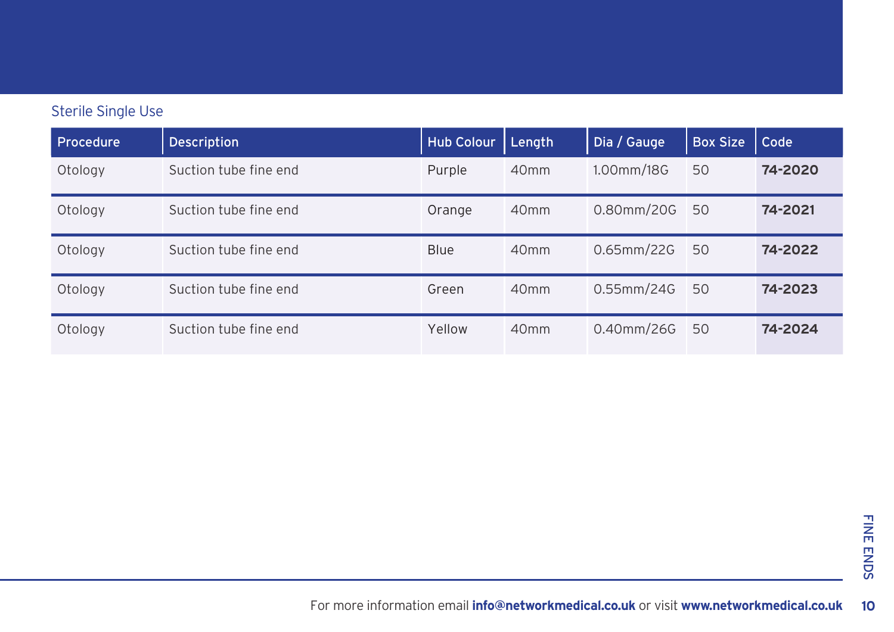| Procedure | <b>Description</b>    | <b>Hub Colour</b> | Length           | Dia / Gauge   | <b>Box Size</b> | Code    |
|-----------|-----------------------|-------------------|------------------|---------------|-----------------|---------|
| Otology   | Suction tube fine end | Purple            | 40 <sub>mm</sub> | 1.00mm/18G    | 50              | 74-2020 |
| Otology   | Suction tube fine end | Orange            | 40 <sub>mm</sub> | $0.80$ mm/20G | 50              | 74-2021 |
| Otology   | Suction tube fine end | <b>Blue</b>       | 40 <sub>mm</sub> | $0.65$ mm/22G | 50              | 74-2022 |
| Otology   | Suction tube fine end | Green             | 40 <sub>mm</sub> | $0.55$ mm/24G | 50              | 74-2023 |
| Otology   | Suction tube fine end | Yellow            | 40 <sub>mm</sub> | $0.40$ mm/26G | 50              | 74-2024 |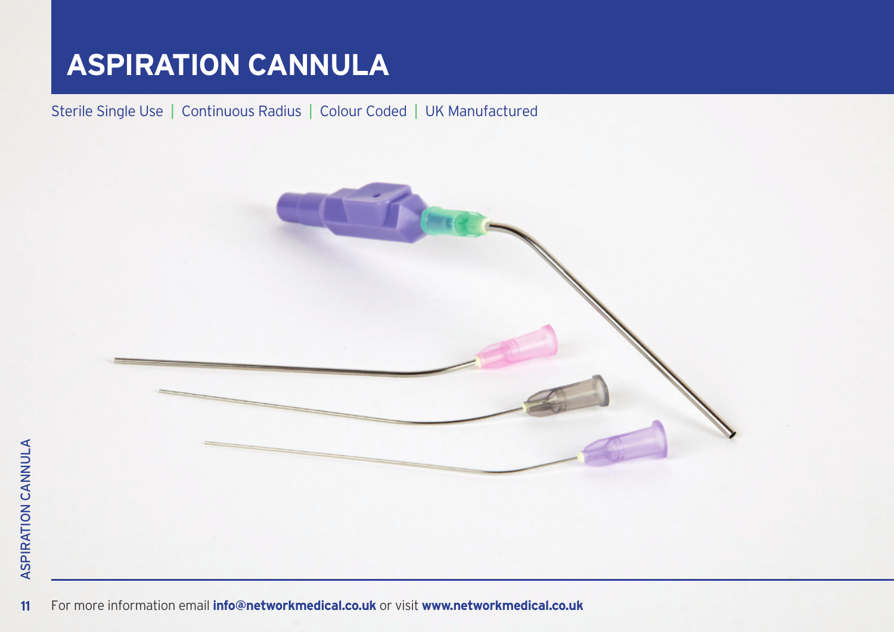### **ASPIRATION CANNULA**

Sterile Single Use | Continuous Radius | Colour Coded | UK Manufactured



For more information email **[info@networkmedical.co.uk](mailto:info%40networkmedical.co.uk?subject=ENT%20Suction%20Tubes%20Brochure)** or visit **[www.networkmedical.co.uk](http://www.networkmedical.co.uk)** For more information email **[info@networkmedical.co.uk](mailto:info%40networkmedical.co.uk?subject=ENT%20Suction%20Tubes%20Brochure)** or visit **[www.networkmedical.co.uk](http://www.networkmedical.co.uk)**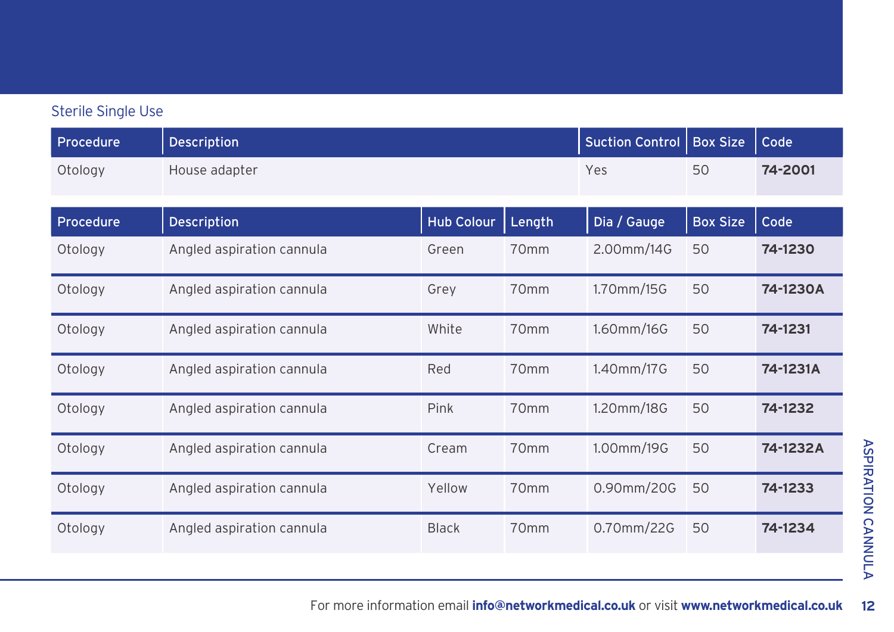| Procedure | Description               |                   |                  | <b>Suction Control</b> | <b>Box Size</b> | Code     |
|-----------|---------------------------|-------------------|------------------|------------------------|-----------------|----------|
| Otology   | House adapter             |                   |                  | Yes                    | 50              | 74-2001  |
| Procedure | Description               | <b>Hub Colour</b> | Length           | Dia / Gauge            | <b>Box Size</b> | Code     |
| Otology   | Angled aspiration cannula | Green             | 70 <sub>mm</sub> | 2.00mm/14G             | 50              | 74-1230  |
| Otology   | Angled aspiration cannula | Grey              | 70 <sub>mm</sub> | 1.70mm/15G             | 50              | 74-1230A |
| Otology   | Angled aspiration cannula | White             | 70 <sub>mm</sub> | 1.60mm/16G             | 50              | 74-1231  |
| Otology   | Angled aspiration cannula | Red               | 70mm             | 1.40mm/17G             | 50              | 74-1231A |
| Otology   | Angled aspiration cannula | Pink              | 70mm             | 1.20mm/18G             | 50              | 74-1232  |
| Otology   | Angled aspiration cannula | Cream             | 70mm             | 1.00mm/19G             | 50              | 74-1232A |
| Otology   | Angled aspiration cannula | Yellow            | 70mm             | 0.90mm/20G             | 50              | 74-1233  |
| Otology   | Angled aspiration cannula | <b>Black</b>      | 70 <sub>mm</sub> | 0.70mm/22G             | 50              | 74-1234  |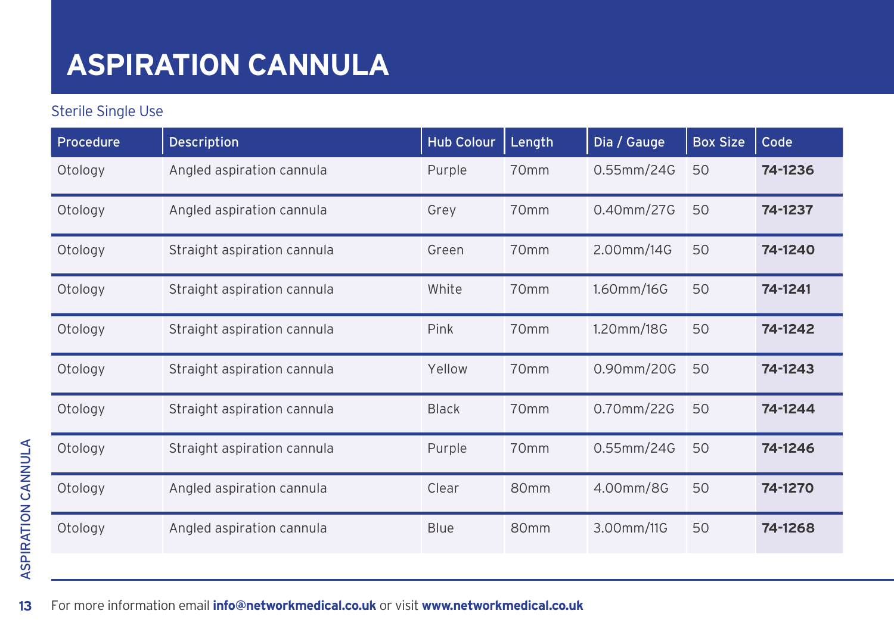### **ASPIRATION CANNULA**

| Procedure | <b>Description</b>          | <b>Hub Colour</b> | Length           | Dia / Gauge | <b>Box Size</b> | Code    |
|-----------|-----------------------------|-------------------|------------------|-------------|-----------------|---------|
| Otology   | Angled aspiration cannula   | Purple            | 70mm             | 0.55mm/24G  | 50              | 74-1236 |
| Otology   | Angled aspiration cannula   | Grey              | 70mm             | 0.40mm/27G  | 50              | 74-1237 |
| Otology   | Straight aspiration cannula | Green             | 70 <sub>mm</sub> | 2.00mm/14G  | 50              | 74-1240 |
| Otology   | Straight aspiration cannula | White             | 70mm             | 1.60mm/16G  | 50              | 74-1241 |
| Otology   | Straight aspiration cannula | Pink              | 70mm             | 1.20mm/18G  | 50              | 74-1242 |
| Otology   | Straight aspiration cannula | Yellow            | 70mm             | 0.90mm/20G  | 50              | 74-1243 |
| Otology   | Straight aspiration cannula | <b>Black</b>      | 70 <sub>mm</sub> | 0.70mm/22G  | 50              | 74-1244 |
| Otology   | Straight aspiration cannula | Purple            | 70mm             | 0.55mm/24G  | 50              | 74-1246 |
| Otology   | Angled aspiration cannula   | Clear             | 80 <sub>mm</sub> | 4.00mm/8G   | 50              | 74-1270 |
| Otology   | Angled aspiration cannula   | <b>Blue</b>       | 80 <sub>mm</sub> | 3.00mm/11G  | 50              | 74-1268 |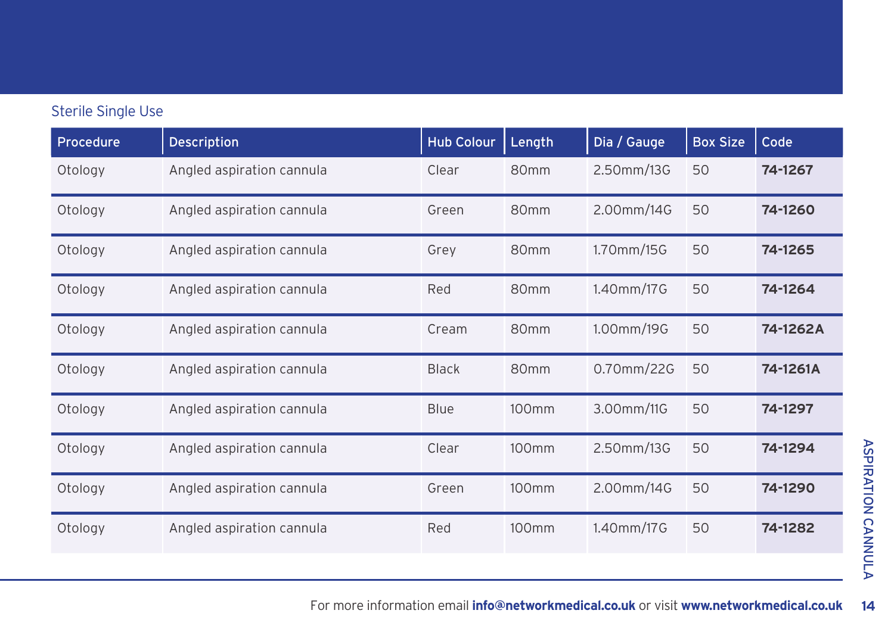| Procedure | Description               | <b>Hub Colour</b> | Length            | Dia / Gauge | <b>Box Size</b> | Code     |
|-----------|---------------------------|-------------------|-------------------|-------------|-----------------|----------|
| Otology   | Angled aspiration cannula | Clear             | 80 <sub>mm</sub>  | 2.50mm/13G  | 50              | 74-1267  |
| Otology   | Angled aspiration cannula | Green             | 80 <sub>mm</sub>  | 2.00mm/14G  | 50              | 74-1260  |
| Otology   | Angled aspiration cannula | Grey              | 80mm              | 1.70mm/15G  | 50              | 74-1265  |
| Otology   | Angled aspiration cannula | Red               | 80 <sub>mm</sub>  | 1.40mm/17G  | 50              | 74-1264  |
| Otology   | Angled aspiration cannula | Cream             | 80mm              | 1.00mm/19G  | 50              | 74-1262A |
| Otology   | Angled aspiration cannula | <b>Black</b>      | 80 <sub>mm</sub>  | 0.70mm/22G  | 50              | 74-1261A |
| Otology   | Angled aspiration cannula | <b>Blue</b>       | 100mm             | 3.00mm/11G  | 50              | 74-1297  |
| Otology   | Angled aspiration cannula | Clear             | 100mm             | 2.50mm/13G  | 50              | 74-1294  |
| Otology   | Angled aspiration cannula | Green             | 100 <sub>mm</sub> | 2.00mm/14G  | 50              | 74-1290  |
| Otology   | Angled aspiration cannula | Red               | 100 <sub>mm</sub> | 1.40mm/17G  | 50              | 74-1282  |